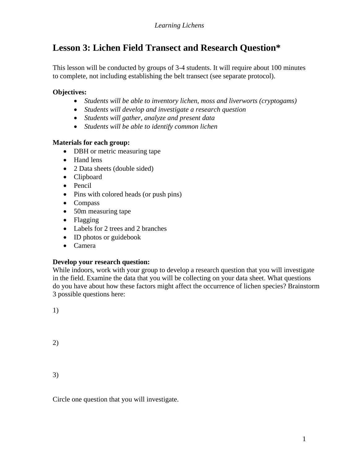# **Lesson 3: Lichen Field Transect and Research Question\***

This lesson will be conducted by groups of 3-4 students. It will require about 100 minutes to complete, not including establishing the belt transect (see separate protocol).

# **Objectives:**

- *Students will be able to inventory lichen, moss and liverworts (cryptogams)*
- *Students will develop and investigate a research question*
- *Students will gather, analyze and present data*
- *Students will be able to identify common lichen*

# **Materials for each group:**

- DBH or metric measuring tape
- Hand lens
- 2 Data sheets (double sided)
- Clipboard
- Pencil
- Pins with colored heads (or push pins)
- Compass
- 50m measuring tape
- Flagging
- Labels for 2 trees and 2 branches
- ID photos or guidebook
- Camera

# **Develop your research question:**

While indoors, work with your group to develop a research question that you will investigate in the field. Examine the data that you will be collecting on your data sheet. What questions do you have about how these factors might affect the occurrence of lichen species? Brainstorm 3 possible questions here:

1)

2)

3)

Circle one question that you will investigate.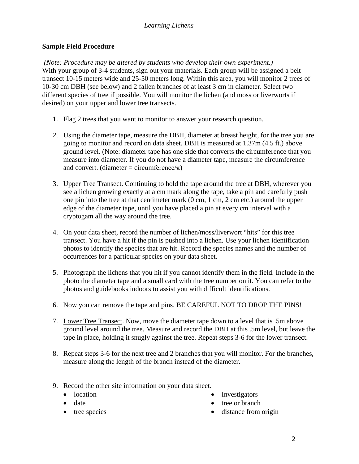#### *Learning Lichens*

#### **Sample Field Procedure**

*(Note: Procedure may be altered by students who develop their own experiment.)* With your group of 3-4 students, sign out your materials. Each group will be assigned a belt transect 10-15 meters wide and 25-50 meters long. Within this area, you will monitor 2 trees of 10-30 cm DBH (see below) and 2 fallen branches of at least 3 cm in diameter. Select two different species of tree if possible. You will monitor the lichen (and moss or liverworts if desired) on your upper and lower tree transects.

- 1. Flag 2 trees that you want to monitor to answer your research question.
- 2. Using the diameter tape, measure the DBH, diameter at breast height, for the tree you are going to monitor and record on data sheet. DBH is measured at 1.37m (4.5 ft.) above ground level. (Note: diameter tape has one side that converts the circumference that you measure into diameter. If you do not have a diameter tape, measure the circumference and convert. (diameter = circumference/ $\pi$ )
- 3. Upper Tree Transect. Continuing to hold the tape around the tree at DBH, wherever you see a lichen growing exactly at a cm mark along the tape, take a pin and carefully push one pin into the tree at that centimeter mark (0 cm, 1 cm, 2 cm etc.) around the upper edge of the diameter tape, until you have placed a pin at every cm interval with a cryptogam all the way around the tree.
- 4. On your data sheet, record the number of lichen/moss/liverwort "hits" for this tree transect. You have a hit if the pin is pushed into a lichen. Use your lichen identification photos to identify the species that are hit. Record the species names and the number of occurrences for a particular species on your data sheet.
- 5. Photograph the lichens that you hit if you cannot identify them in the field. Include in the photo the diameter tape and a small card with the tree number on it. You can refer to the photos and guidebooks indoors to assist you with difficult identifications.
- 6. Now you can remove the tape and pins. BE CAREFUL NOT TO DROP THE PINS!
- 7. Lower Tree Transect. Now, move the diameter tape down to a level that is .5m above ground level around the tree. Measure and record the DBH at this .5m level, but leave the tape in place, holding it snugly against the tree. Repeat steps 3-6 for the lower transect.
- 8. Repeat steps 3-6 for the next tree and 2 branches that you will monitor. For the branches, measure along the length of the branch instead of the diameter.
- 9. Record the other site information on your data sheet.
	- location
	- date
	- tree species
- Investigators
- tree or branch
- distance from origin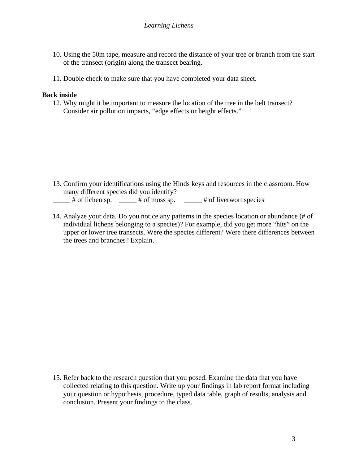- 10. Using the 50m tape, measure and record the distance of your tree or branch from the start of the transect (origin) along the transect bearing.
- 11. Double check to make sure that you have completed your data sheet.

#### **Back inside**

12. Why might it be important to measure the location of the tree in the belt transect? Consider air pollution impacts, "edge effects or height effects."

- 13. Confirm your identifications using the Hinds keys and resources in the classroom. How many different species did you identify?  $#$  of lichen sp.  $#$  of moss sp.  $#$  of liverwort species
- 14. Analyze your data. Do you notice any patterns in the species location or abundance (# of individual lichens belonging to a species)? For example, did you get more "hits" on the upper or lower tree transects. Were the species different? Were there differences between the trees and branches? Explain.

15. Refer back to the research question that you posed. Examine the data that you have collected relating to this question. Write up your findings in lab report format including your question or hypothesis, procedure, typed data table, graph of results, analysis and conclusion. Present your findings to the class.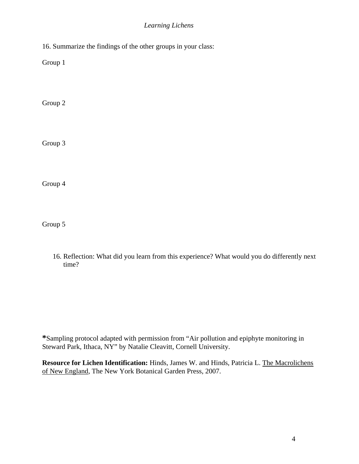#### *Learning Lichens*

16. Summarize the findings of the other groups in your class:

Group 1

Group 2

Group 3

Group 4

Group 5

16. Reflection: What did you learn from this experience? What would you do differently next time?

**\***Sampling protocol adapted with permission from "Air pollution and epiphyte monitoring in Steward Park, Ithaca, NY" by Natalie Cleavitt, Cornell University.

**Resource for Lichen Identification:** Hinds, James W. and Hinds, Patricia L. The Macrolichens of New England, The New York Botanical Garden Press, 2007.